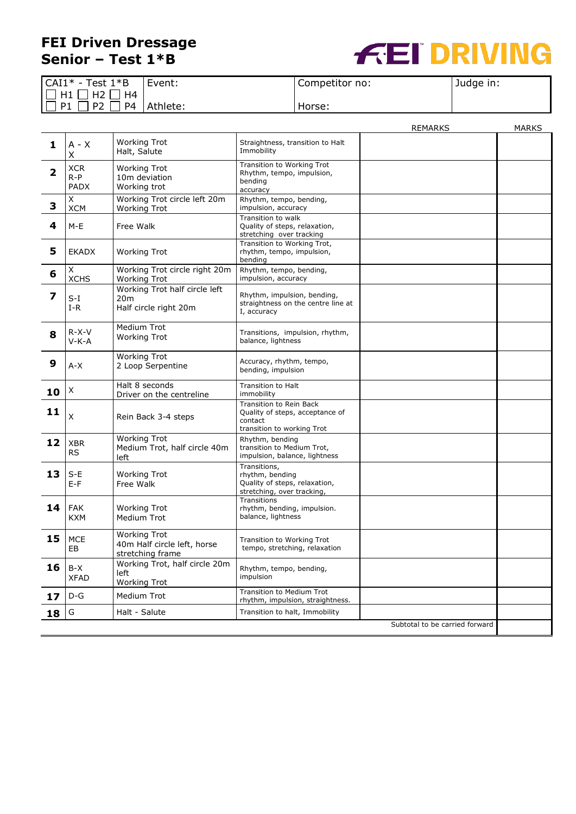## **FEI Driven Dressage Senior – Test 1\*B**



| $CAI1* - Test 1*B$                       | Event:   | Competitor no: | Judge in: |
|------------------------------------------|----------|----------------|-----------|
| $\Box$ H1 [                              |          |                |           |
| $\Box$ P4 $\Box$<br>P <sub>2</sub><br>P1 | Athlete: | Horse:         |           |

|                                |                             |                                                                        |                                                                                                     | REMARKS | MARKS |
|--------------------------------|-----------------------------|------------------------------------------------------------------------|-----------------------------------------------------------------------------------------------------|---------|-------|
| 1                              | $A - X$<br>Χ                | <b>Working Trot</b><br>Halt, Salute                                    | Straightness, transition to Halt<br>Immobility                                                      |         |       |
| $\overline{\mathbf{2}}$        | <b>XCR</b><br>$R-P$<br>PADX | <b>Working Trot</b><br>10m deviation<br>Working trot                   | Transition to Working Trot<br>Rhythm, tempo, impulsion,<br>bendina<br>accuracy                      |         |       |
| 3                              | X<br><b>XCM</b>             | Working Trot circle left 20m<br><b>Working Trot</b>                    | Rhythm, tempo, bending,<br>impulsion, accuracy                                                      |         |       |
| 4                              | M-E                         | Free Walk                                                              | Transition to walk<br>Quality of steps, relaxation,<br>stretching over tracking                     |         |       |
| 5                              | <b>EKADX</b>                | <b>Working Trot</b>                                                    | Transition to Working Trot,<br>rhythm, tempo, impulsion,<br>bending                                 |         |       |
| 6                              | X<br><b>XCHS</b>            | Working Trot circle right 20m<br><b>Working Trot</b>                   | Rhythm, tempo, bending,<br>impulsion, accuracy                                                      |         |       |
| 7                              | $S-I$<br>$I-R$              | Working Trot half circle left<br>20m<br>Half circle right 20m          | Rhythm, impulsion, bending,<br>straightness on the centre line at<br>I, accuracy                    |         |       |
| 8                              | $R-X-V$<br>$V-K-A$          | Medium Trot<br><b>Working Trot</b>                                     | Transitions, impulsion, rhythm,<br>balance, lightness                                               |         |       |
| 9                              | A-X                         | <b>Working Trot</b><br>2 Loop Serpentine                               | Accuracy, rhythm, tempo,<br>bending, impulsion                                                      |         |       |
| 10                             | X                           | Halt 8 seconds<br>Driver on the centreline                             | Transition to Halt<br>immobility                                                                    |         |       |
| 11                             | $\sf X$                     | Rein Back 3-4 steps                                                    | Transition to Rein Back<br>Quality of steps, acceptance of<br>contact<br>transition to working Trot |         |       |
| 12                             | <b>XBR</b><br><b>RS</b>     | <b>Working Trot</b><br>Medium Trot, half circle 40m<br>left            | Rhythm, bending<br>transition to Medium Trot,<br>impulsion, balance, lightness                      |         |       |
| 13                             | $S-E$<br>$E-F$              | <b>Working Trot</b><br>Free Walk                                       | Transitions,<br>rhythm, bending<br>Quality of steps, relaxation,<br>stretching, over tracking,      |         |       |
| 14                             | <b>FAK</b><br><b>KXM</b>    | <b>Working Trot</b><br>Medium Trot                                     | <b>Transitions</b><br>rhythm, bending, impulsion.<br>balance, lightness                             |         |       |
| 15                             | <b>MCE</b><br>EB            | <b>Working Trot</b><br>40m Half circle left, horse<br>stretching frame | <b>Transition to Working Trot</b><br>tempo, stretching, relaxation                                  |         |       |
| 16                             | B-X<br><b>XFAD</b>          | Working Trot, half circle 20m<br>left<br><b>Working Trot</b>           | Rhythm, tempo, bending,<br>impulsion                                                                |         |       |
| 17                             | $D-G$                       | Medium Trot                                                            | Transition to Medium Trot<br>rhythm, impulsion, straightness.                                       |         |       |
| 18                             | G                           | Halt - Salute                                                          | Transition to halt, Immobility                                                                      |         |       |
| Subtotal to be carried forward |                             |                                                                        |                                                                                                     |         |       |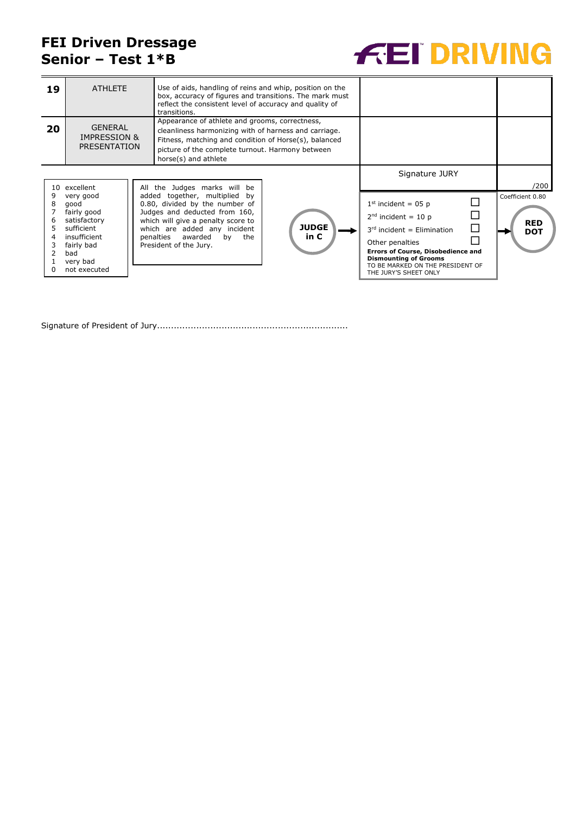## **FEI Driven Dressage Senior – Test 1\*B**



| 19 | <b>ATHLETE</b>                                                                                                                               | Use of aids, handling of reins and whip, position on the<br>box, accuracy of figures and transitions. The mark must<br>reflect the consistent level of accuracy and quality of<br>transitions.                                                                        |                      |                                                                                                                                                                                                                                                                         |                                                      |
|----|----------------------------------------------------------------------------------------------------------------------------------------------|-----------------------------------------------------------------------------------------------------------------------------------------------------------------------------------------------------------------------------------------------------------------------|----------------------|-------------------------------------------------------------------------------------------------------------------------------------------------------------------------------------------------------------------------------------------------------------------------|------------------------------------------------------|
| 20 | <b>GENERAL</b><br><b>IMPRESSION &amp;</b><br>PRESENTATION                                                                                    | Appearance of athlete and grooms, correctness,<br>cleanliness harmonizing with of harness and carriage.<br>Fitness, matching and condition of Horse(s), balanced<br>picture of the complete turnout. Harmony between<br>horse(s) and athlete                          |                      |                                                                                                                                                                                                                                                                         |                                                      |
| 10 | excellent<br>very good<br>good<br>fairly good<br>satisfactory<br>sufficient<br>insufficient<br>fairly bad<br>bad<br>very bad<br>not executed | All the Judges marks will be<br>added together, multiplied by<br>0.80, divided by the number of<br>Judges and deducted from 160,<br>which will give a penalty score to<br>which are added any incident<br>penalties<br>awarded<br>the<br>bv<br>President of the Jury. | <b>JUDGE</b><br>in C | Signature JURY<br>$1st$ incident = 05 p<br>$2nd$ incident = 10 p<br>$\Box$<br>$3rd$ incident = Elimination<br>Other penalties<br><b>Errors of Course, Disobedience and</b><br><b>Dismounting of Grooms</b><br>TO BE MARKED ON THE PRESIDENT OF<br>THE JURY'S SHEET ONLY | /200<br>Coefficient 0.80<br><b>RED</b><br><b>DOT</b> |

Signature of President of Jury....................................................................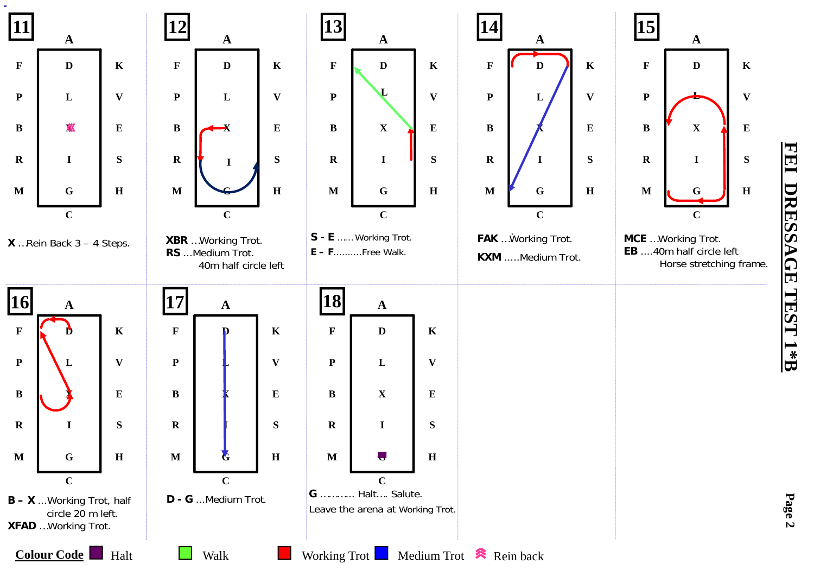

**FEI DRESSAGE TEST 1\*B**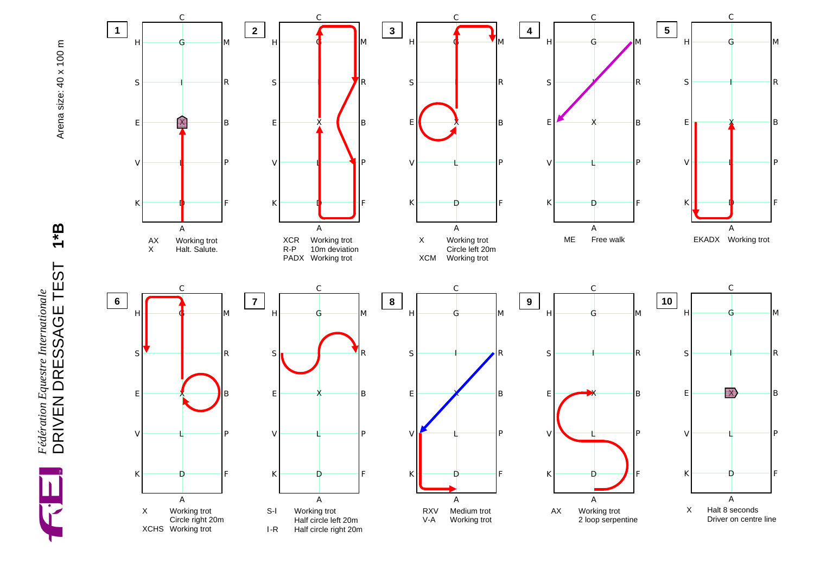